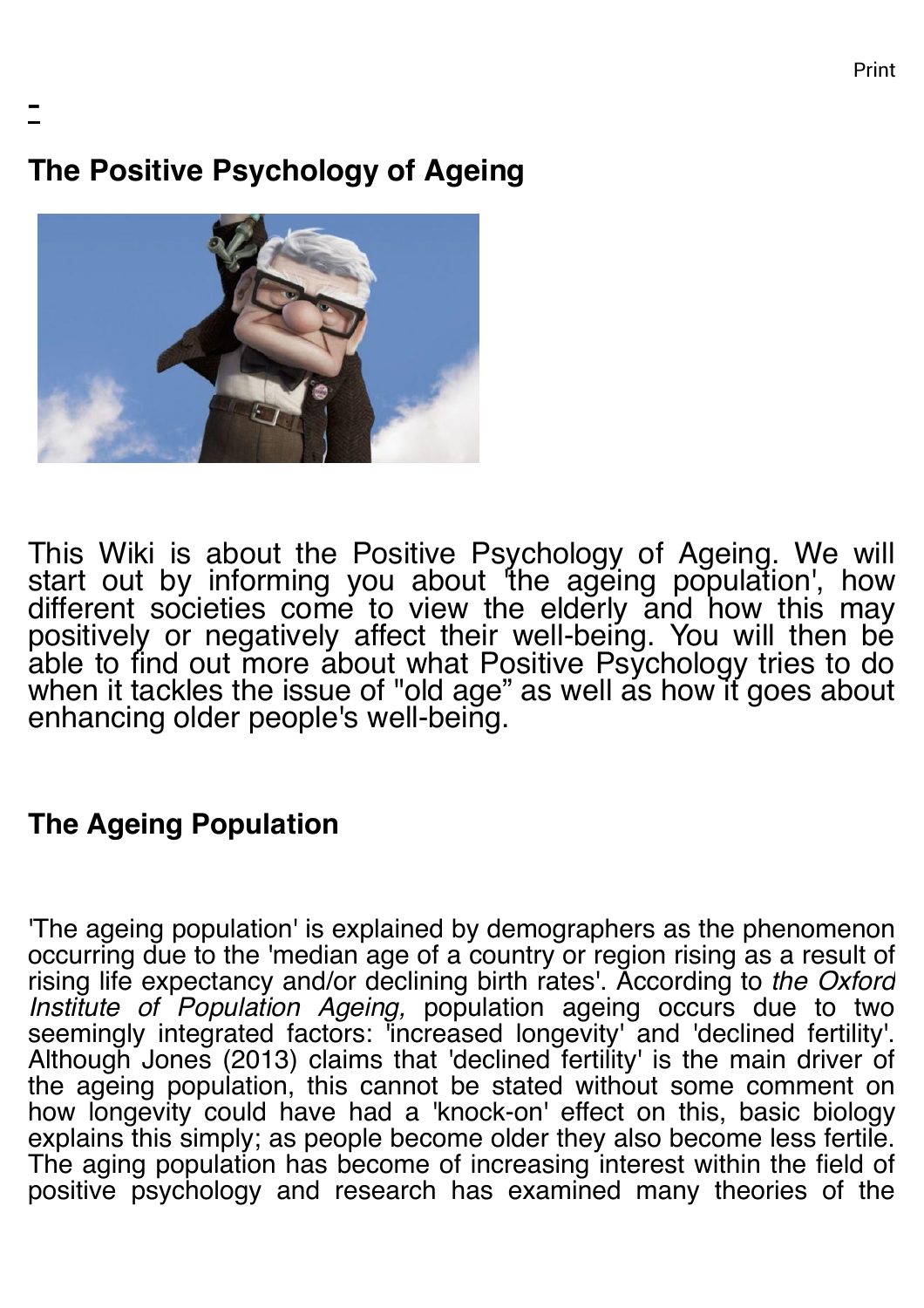**The Positive Psychology of Ageing**

-



This Wiki is about the Positive Psychology of Ageing. We will start out by informing you about 'the ageing population', how different societies come to view the elderly and how this may positively or negatively affect their well-being. You will then be able to find out more about what Positive Psychology tries to do when it tackles the issue of "old age" as well as how it goes about enhancing older people's well-being.

# **The Ageing Population**

'The ageing population' is explained by demographers as the phenomenon occurring due to the 'median age of a country or region rising as a result of rising life expectancy and/or declining birth rates'. According to *the Oxford Institute of Population Ageing,* population ageing occurs due to two seemingly integrated factors: 'increased longevity' and 'declined fertility'. Although Jones (2013) claims that 'declined fertility' is the main driver of the ageing population, this cannot be stated without some comment on how longevity could have had a 'knock-on' effect on this, basic biology explains this simply; as people become older they also become less fertile. The aging population has become of increasing interest within the field of positive psychology and research has examined many theories of the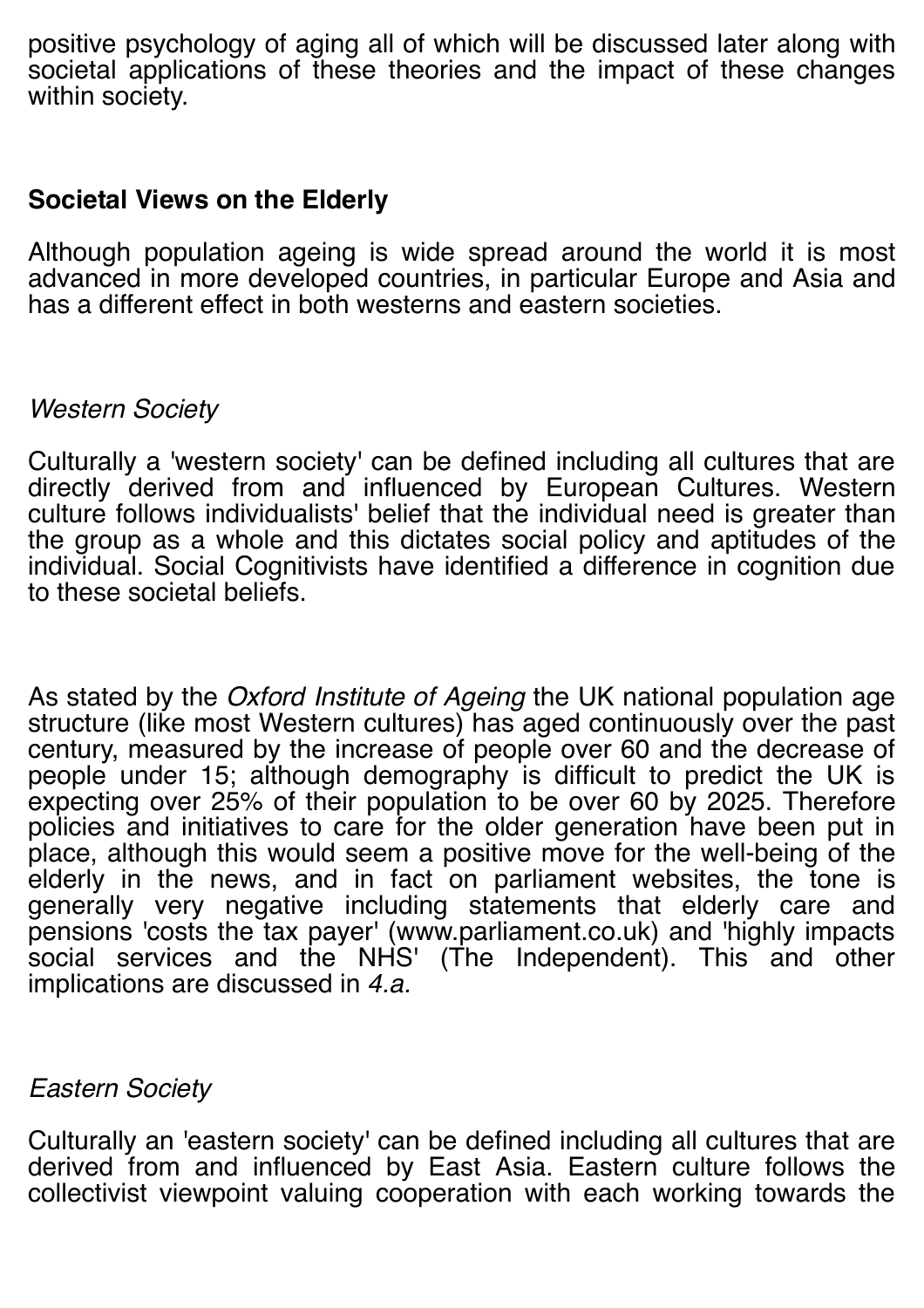positive psychology of aging all of which will be discussed later along with societal applications of these theories and the impact of these changes within society.

### **Societal Views on the Elderly**

Although population ageing is wide spread around the world it is most advanced in more developed countries, in particular Europe and Asia and has a different effect in both westerns and eastern societies.

## *Western Society*

Culturally a 'western society' can be defined including all cultures that are directly derived from and influenced by European Cultures. Western culture follows individualists' belief that the individual need is greater than the group as a whole and this dictates social policy and aptitudes of the individual. Social Cognitivists have identified a difference in cognition due to these societal beliefs.

As stated by the *Oxford Institute of Ageing* the UK national population age structure (like most Western cultures) has aged continuously over the past century, measured by the increase of people over 60 and the decrease of people under 15; although demography is difficult to predict the UK is expecting over 25% of their population to be over 60 by 2025. Therefore policies and initiatives to care for the older generation have been put in place, although this would seem a positive move for the well-being of the elderly in the news, and in fact on parliament websites, the tone is generally very negative including statements that elderly care and pensions 'costs the tax payer' (www.parliament.co.uk) and 'highly impacts social services and the NHS' (The Independent). This and other implications are discussed in *4.a.*

## *Eastern Society*

Culturally an 'eastern society' can be defined including all cultures that are derived from and influenced by East Asia. Eastern culture follows the collectivist viewpoint valuing cooperation with each working towards the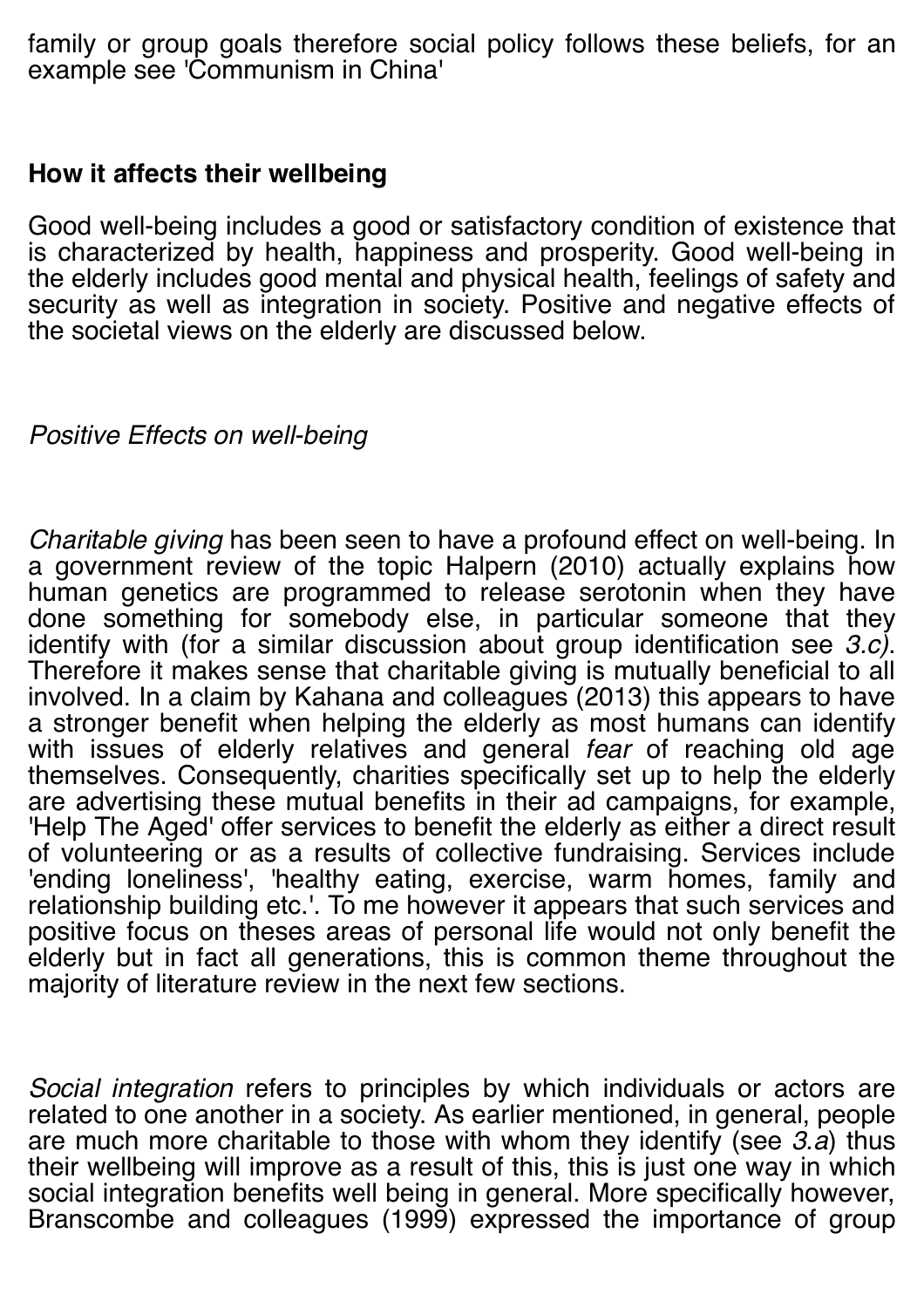family or group goals therefore social policy follows these beliefs, for an example see 'Communism in China'

## **How it affects their wellbeing**

Good well-being includes a good or satisfactory condition of existence that is characterized by health, happiness and prosperity. Good well-being in the elderly includes good mental and physical health, feelings of safety and security as well as integration in society. Positive and negative effects of the societal views on the elderly are discussed below.

# *Positive Effects on well-being*

*Charitable giving* has been seen to have a profound effect on well-being. In a government review of the topic Halpern (2010) actually explains how human genetics are programmed to release serotonin when they have done something for somebody else, in particular someone that they identify with (for a similar discussion about group identification see  $3.c$ ). identify with (for a similar discussion about a similar discussion as Therefore it makes sense that charitable giving is mutually beneficial to all involved. In a claim by Kahana and colleagues (2013) this appears to have a stronger benefit when helping the elderly as most humans can identify with issues of elderly relatives and general *fear* of reaching old age themselves. Consequently, charities specifically set up to help the elderly are advertising these mutual benefits in their ad campaigns, for example, 'Help The Aged' offer services to benefit the elderly as either a direct result of volunteering or as a results of collective fundraising. Services include 'ending loneliness', 'healthy eating, exercise, warm homes, family and relationship building etc.'. To me however it appears that such services and positive focus on theses areas of personal life would not only benefit the elderly but in fact all generations, this is common theme throughout the majority of literature review in the next few sections.

*Social integration* refers to principles by which individuals or actors are related to one another in a society. As earlier mentioned, in general, people are much more charitable to those with whom they identify (see *3.a*) thus their wellbeing will improve as a result of this, this is just one way in which social integration benefits well being in general. More specifically however, Branscombe and colleagues (1999) expressed the importance of group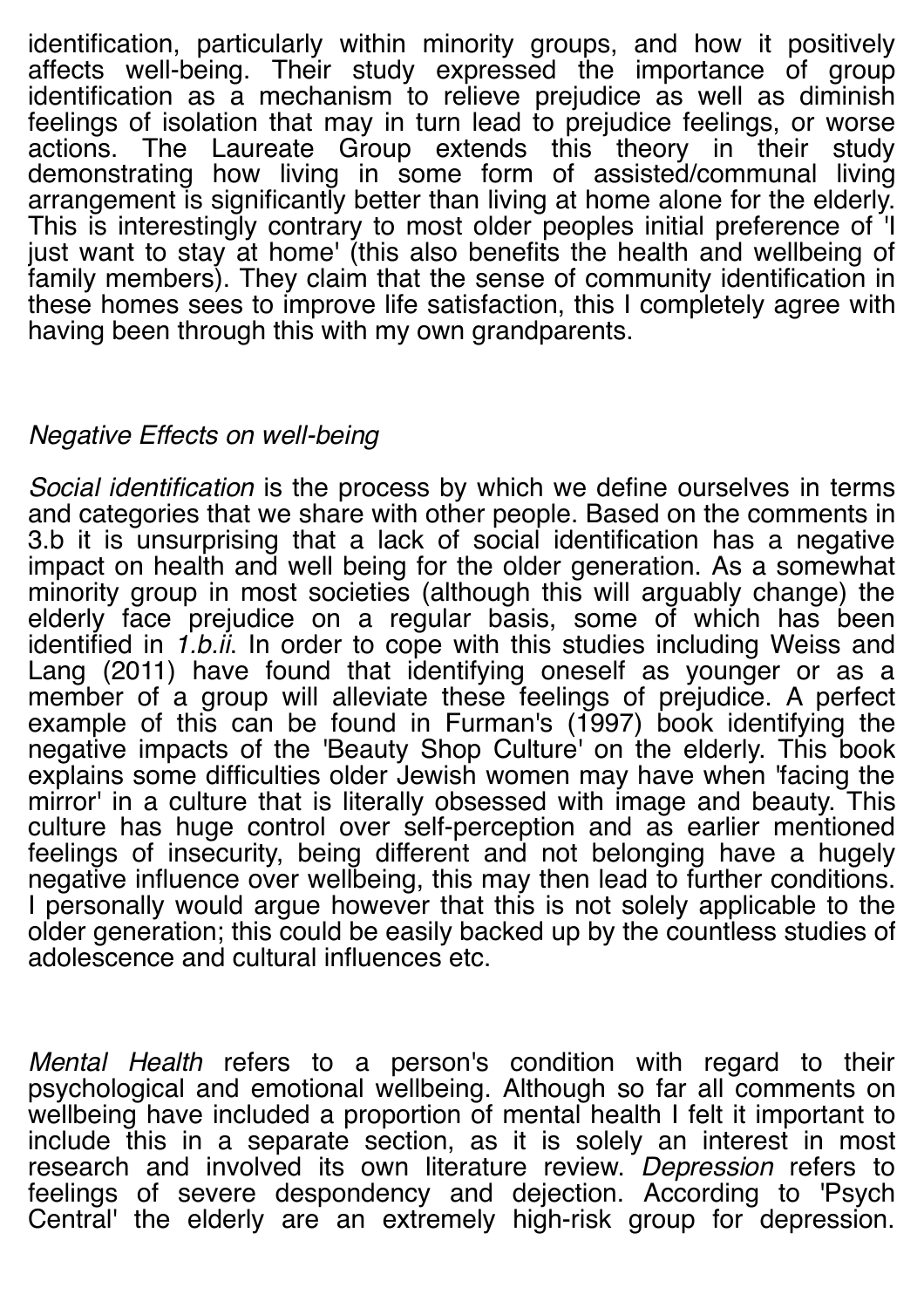identification, particularly within minority groups, and how it positively affects well-being. Their study expressed the importance of group identification as a mechanism to relieve prejudice as well as diminish feelings of isolation that may in turn lead to prejudice feelings, or worse actions. The Laureate Group extends this theory in their study demonstrating how living in some form of assisted/communal living arrangement is significantly better than living at home alone for the elderly. This is interestingly contrary to most older peoples initial preference of 'I just want to stay at home' (this also benefits the health and wellbeing of family members). They claim that the sense of community identification in these homes sees to improve life satisfaction, this I completely agree with having been through this with my own grandparents.

# *Negative Effects on well-being*

*Social identification* is the process by which we define ourselves in terms and categories that we share with other people. Based on the comments in 3.b it is unsurprising that a lack of social identification has a negative impact on health and well being for the older generation. As a somewhat minority group in most societies (although this will arguably change) the elderly face prejudice on a regular basis, some of which has been identified in *1.b.ii*. In order to cope with this studies including Weiss and Lang (2011) have found that identifying oneself as younger or as a member of a group will alleviate these feelings of prejudice. A perfect example of this can be found in Furman's (1997) book identifying the negative impacts of the 'Beauty Shop Culture' on the elderly. This book explains some difficulties older Jewish women may have when 'facing the mirror' in a culture that is literally obsessed with image and beauty. This culture has huge control over self-perception and as earlier mentioned feelings of insecurity, being different and not belonging have a hugely negative influence over wellbeing, this may then lead to further conditions. I personally would argue however that this is not solely applicable to the older generation; this could be easily backed up by the countless studies of adolescence and cultural influences etc.

*Mental Health* refers to a person's condition with regard to their psychological and emotional wellbeing. Although so far all comments on wellbeing have included a proportion of mental health I felt it important to include this in a separate section, as it is solely an interest in most research and involved its own literature review. *Depression* refers to feelings of severe despondency and dejection. According to 'Psych Central' the elderly are an extremely high-risk group for depression.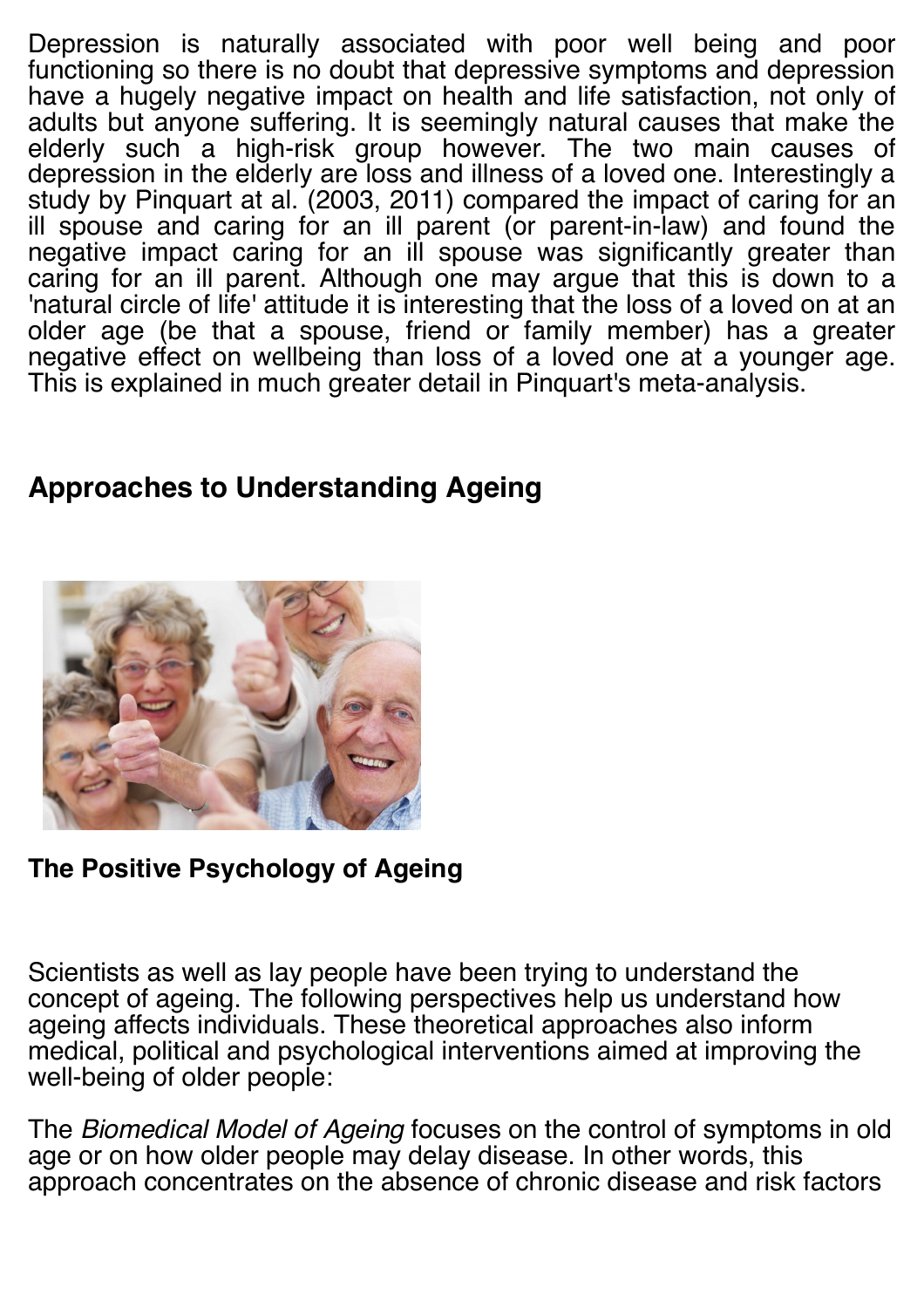Depression is naturally associated with poor well being and poor functioning so there is no doubt that depressive symptoms and depression have a hugely negative impact on health and life satisfaction, not only of adults but anyone suffering. It is seemingly natural causes that make the elderly such a high-risk group however. The two main causes of depression in the elderly are loss and illness of a loved one. Interestingly a study by Pinquart at al. (2003, 2011) compared the impact of caring for an ill spouse and caring for an ill parent (or parent-in-law) and found the negative impact caring for an ill spouse was significantly greater than caring for an ill parent. Although one may argue that this is down to a 'natural circle of life' attitude it is interesting that the loss of a loved on at an older age (be that a spouse, friend or family member) has a greater negative effect on wellbeing than loss of a loved one at a younger age. This is explained in much greater detail in Pinquart's meta-analysis.

# **Approaches to Understanding Ageing**



**The Positive Psychology of Ageing**

Scientists as well as lay people have been trying to understand the concept of ageing. The following perspectives help us understand how ageing affects individuals. These theoretical approaches also inform medical, political and psychological interventions aimed at improving the well-being of older people:

The *Biomedical Model of Ageing* focuses on the control of symptoms in old age or on how older people may delay disease. In other words, this approach concentrates on the absence of chronic disease and risk factors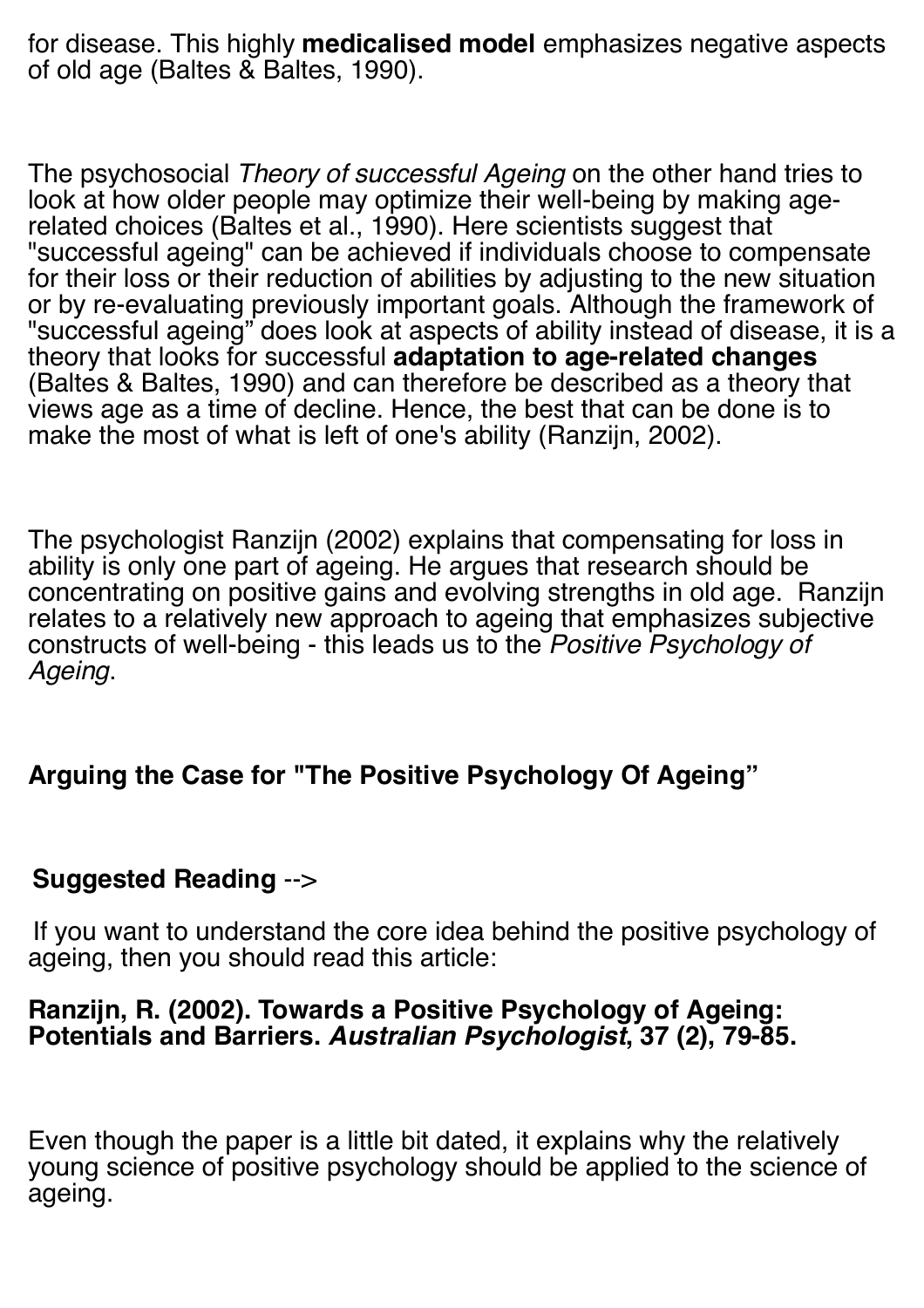for disease. This highly **medicalised model** emphasizes negative aspects of old age (Baltes & Baltes, 1990).

The psychosocial *Theory of successful Ageing* on the other hand tries to look at how older people may optimize their well-being by making agerelated choices (Baltes et al., 1990). Here scientists suggest that "successful ageing" can be achieved if individuals choose to compensate for their loss or their reduction of abilities by adjusting to the new situation or by re-evaluating previously important goals. Although the framework of "successful ageing" does look at aspects of ability instead of disease, it is a theory that looks for successful **adaptation to age-related changes** (Baltes & Baltes, 1990) and can therefore be described as a theory that views age as a time of decline. Hence, the best that can be done is to make the most of what is left of one's ability (Ranzijn, 2002).

The psychologist Ranzijn (2002) explains that compensating for loss in ability is only one part of ageing. He argues that research should be concentrating on positive gains and evolving strengths in old age. Ranzijn relates to a relatively new approach to ageing that emphasizes subjective constructs of well-being - this leads us to the *Positive Psychology of Ageing*.

# **Arguing the Case for "The Positive Psychology Of Ageing"**

## **Suggested Reading** -->

If you want to understand the core idea behind the positive psychology of ageing, then you should read this article:

#### **Ranzijn, R. (2002). Towards a Positive Psychology of Ageing: Potentials and Barriers.** *Australian Psychologist***, 37 (2), 79-85.**

Even though the paper is a little bit dated, it explains why the relatively young science of positive psychology should be applied to the science of ageing.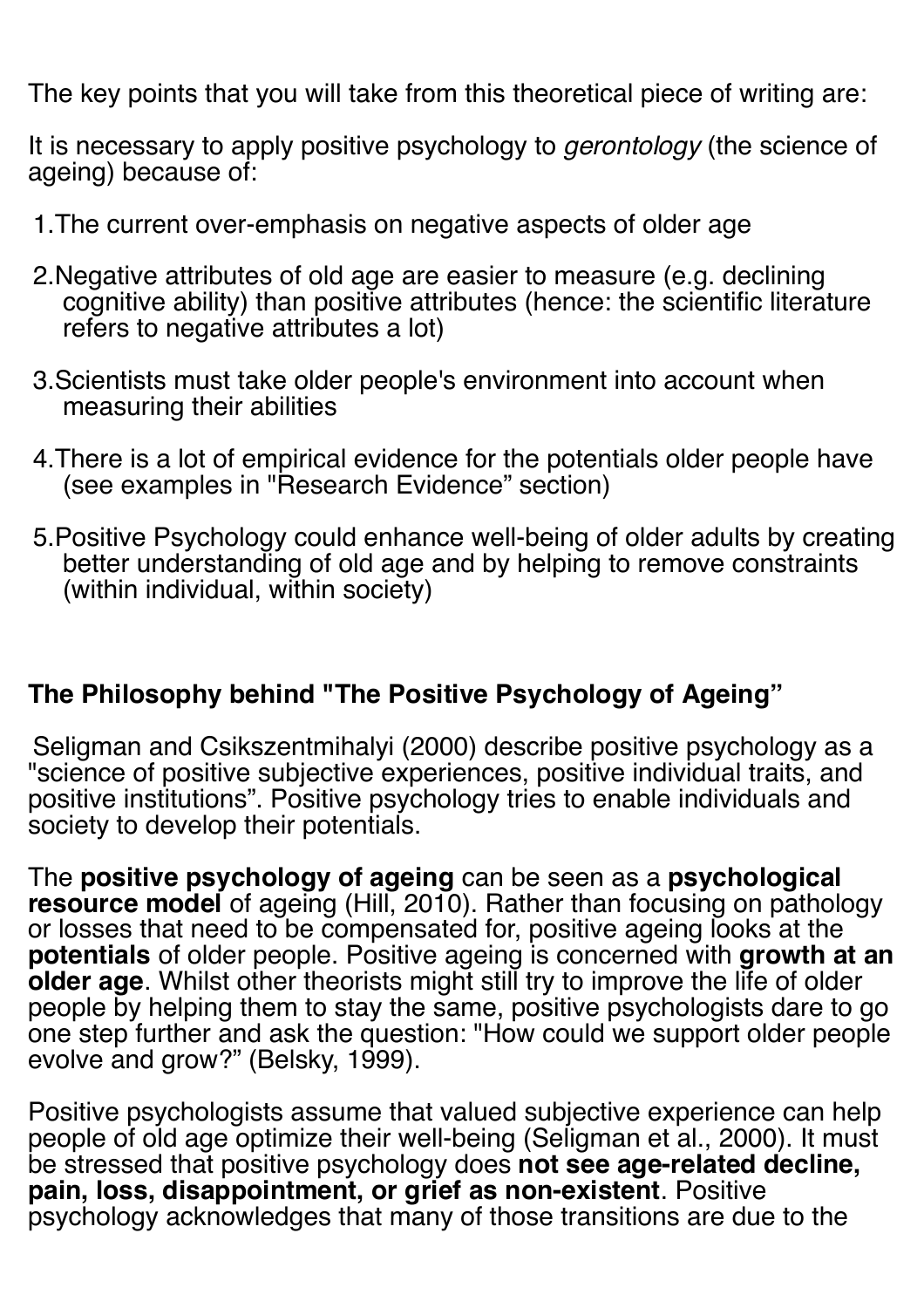The key points that you will take from this theoretical piece of writing are:

It is necessary to apply positive psychology to *gerontology* (the science of ageing) because of:

- 1.The current over-emphasis on negative aspects of older age
- 2.Negative attributes of old age are easier to measure (e.g. declining cognitive ability) than positive attributes (hence: the scientific literature refers to negative attributes a lot)
- 3.Scientists must take older people's environment into account when measuring their abilities
- 4.There is a lot of empirical evidence for the potentials older people have (see examples in "Research Evidence" section)
- 5.Positive Psychology could enhance well-being of older adults by creating better understanding of old age and by helping to remove constraints (within individual, within society)

## **The Philosophy behind "The Positive Psychology of Ageing"**

Seligman and Csikszentmihalyi (2000) describe positive psychology as a "science of positive subjective experiences, positive individual traits, and positive institutions". Positive psychology tries to enable individuals and society to develop their potentials.

The **positive psychology of ageing** can be seen as a **psychological resource model** of ageing (Hill, 2010). Rather than focusing on pathology or losses that need to be compensated for, positive ageing looks at the **potentials** of older people. Positive ageing is concerned with **growth at an older age**. Whilst other theorists might still try to improve the life of older people by helping them to stay the same, positive psychologists dare to go one step further and ask the question: "How could we support older people evolve and grow?" (Belsky, 1999).

Positive psychologists assume that valued subjective experience can help people of old age optimize their well-being (Seligman et al., 2000). It must be stressed that positive psychology does **not see age-related decline, pain, loss, disappointment, or grief as non-existent**. Positive psychology acknowledges that many of those transitions are due to the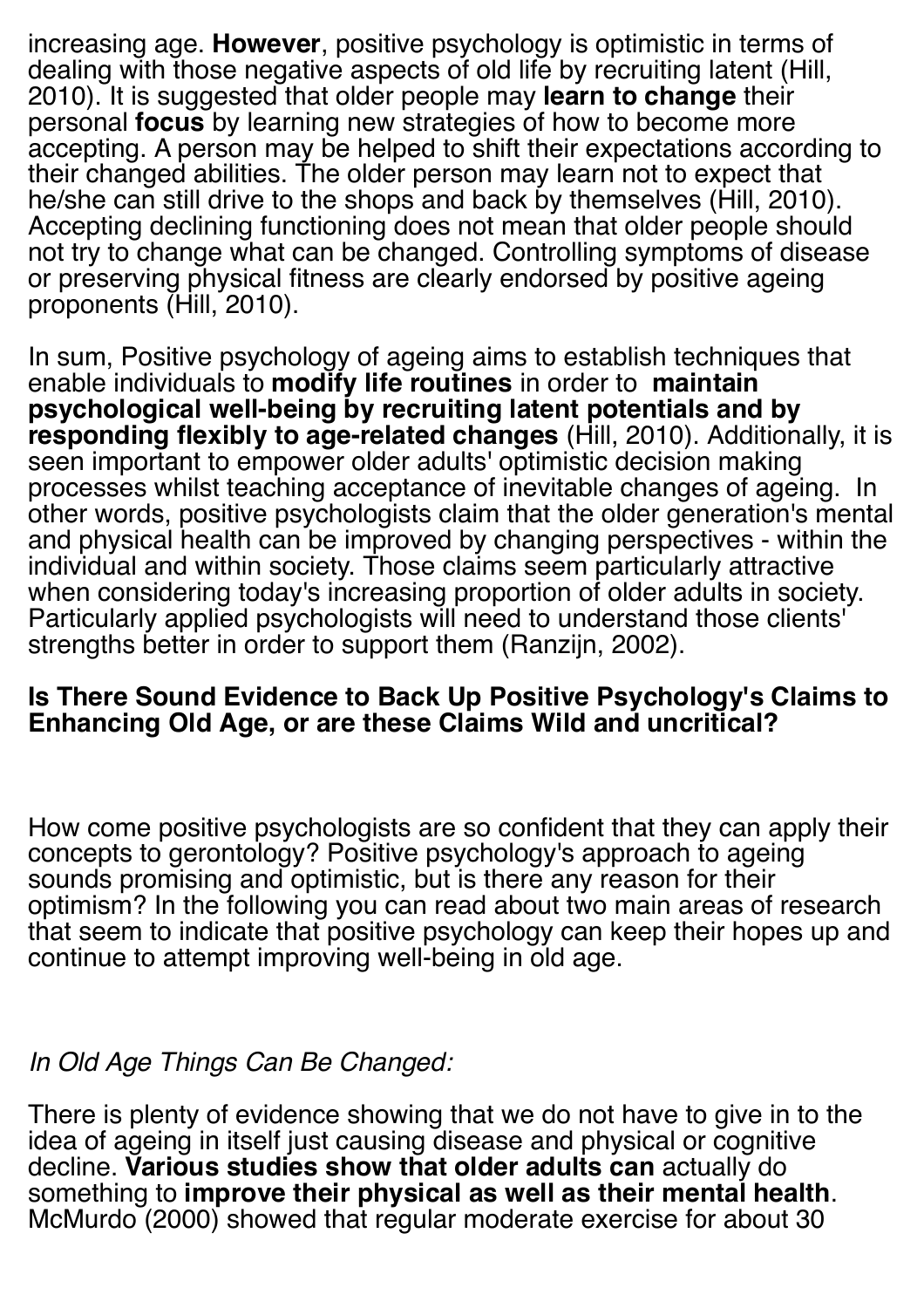increasing age. **However**, positive psychology is optimistic in terms of dealing with those negative aspects of old life by recruiting latent (Hill, 2010). It is suggested that older people may **learn to change** their personal **focus** by learning new strategies of how to become more accepting. A person may be helped to shift their expectations according to their changed abilities. The older person may learn not to expect that he/she can still drive to the shops and back by themselves (Hill, 2010). Accepting declining functioning does not mean that older people should not try to change what can be changed. Controlling symptoms of disease or preserving physical fitness are clearly endorsed by positive ageing proponents (Hill, 2010).

In sum, Positive psychology of ageing aims to establish techniques that enable individuals to **modify life routines** in order to **maintain psychological well-being by recruiting latent potentials and by responding flexibly to age-related changes** (Hill, 2010). Additionally, it is seen important to empower older adults' optimistic decision making processes whilst teaching acceptance of inevitable changes of ageing. In other words, positive psychologists claim that the older generation's mental and physical health can be improved by changing perspectives - within the individual and within society. Those claims seem particularly attractive when considering today's increasing proportion of older adults in society. Particularly applied psychologists will need to understand those clients' strengths better in order to support them (Ranzijn, 2002).

#### **Is There Sound Evidence to Back Up Positive Psychology's Claims to Enhancing Old Age, or are these Claims Wild and uncritical?**

How come positive psychologists are so confident that they can apply their concepts to gerontology? Positive psychology's approach to ageing sounds promising and optimistic, but is there any reason for their optimism? In the following you can read about two main areas of research that seem to indicate that positive psychology can keep their hopes up and continue to attempt improving well-being in old age.

## *In Old Age Things Can Be Changed:*

There is plenty of evidence showing that we do not have to give in to the idea of ageing in itself just causing disease and physical or cognitive decline. **Various studies show that older adults can** actually do something to **improve their physical as well as their mental health**. McMurdo (2000) showed that regular moderate exercise for about 30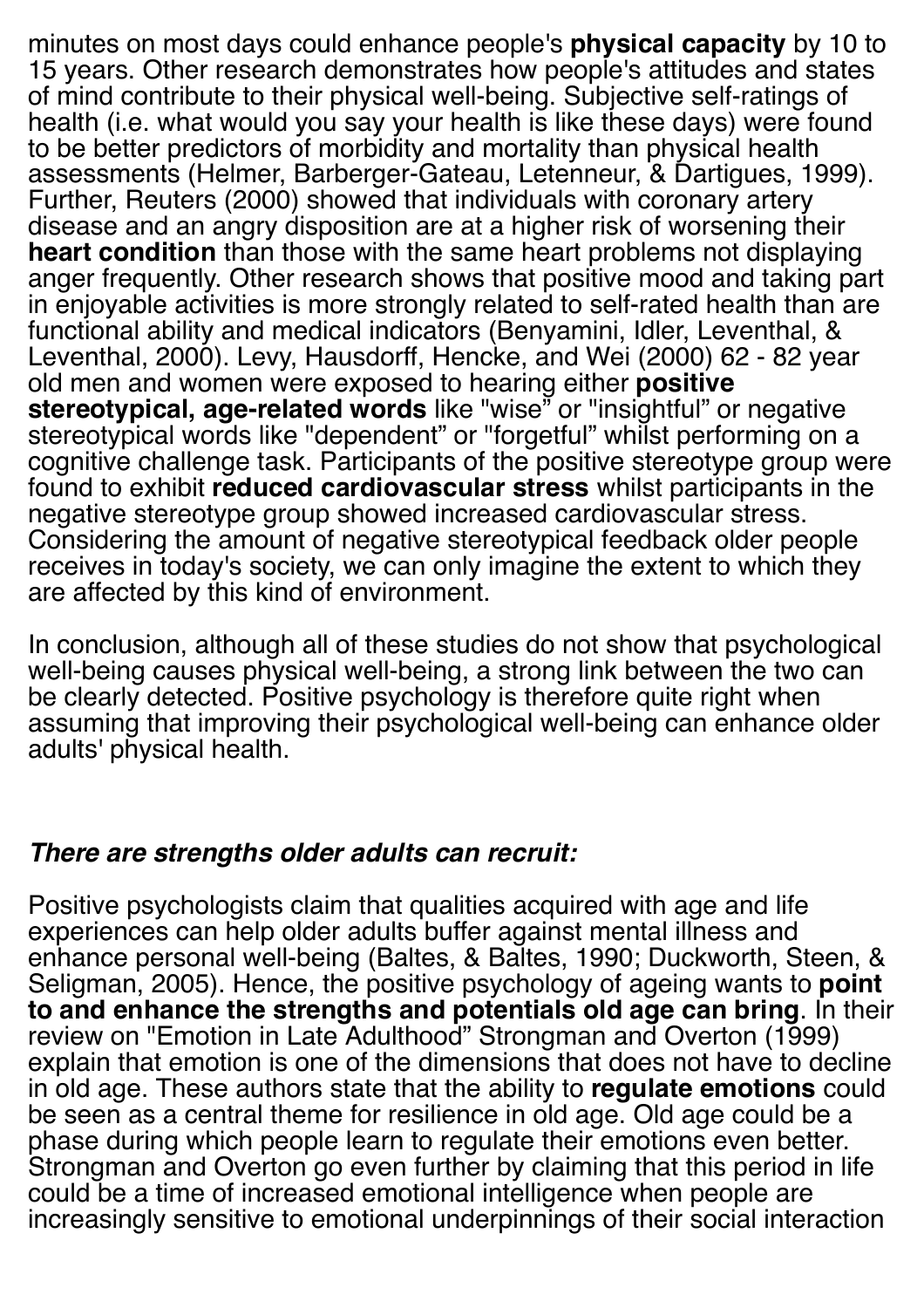minutes on most days could enhance people's **physical capacity** by 10 to 15 years. Other research demonstrates how people's attitudes and states of mind contribute to their physical well-being. Subjective self-ratings of health (i.e. what would you say your health is like these days) were found to be better predictors of morbidity and mortality than physical health assessments (Helmer, Barberger-Gateau, Letenneur, & Dartigues, 1999). Further, Reuters (2000) showed that individuals with coronary artery disease and an angry disposition are at a higher risk of worsening their **heart condition** than those with the same heart problems not displaying anger frequently. Other research shows that positive mood and taking part in enjoyable activities is more strongly related to self-rated health than are functional ability and medical indicators (Benyamini, Idler, Leventhal, & Leventhal, 2000). Levy, Hausdorff, Hencke, and Wei (2000) 62 - 82 year old men and women were exposed to hearing either **positive stereotypical, age-related words** like "wise" or "insightful" or negative stereotypical words like "dependent" or "forgetful" whilst performing on a cognitive challenge task. Participants of the positive stereotype group were found to exhibit **reduced cardiovascular stress** whilst participants in the negative stereotype group showed increased cardiovascular stress. Considering the amount of negative stereotypical feedback older people receives in today's society, we can only imagine the extent to which they are affected by this kind of environment.

In conclusion, although all of these studies do not show that psychological well-being causes physical well-being, a strong link between the two can be clearly detected. Positive psychology is therefore quite right when assuming that improving their psychological well-being can enhance older adults' physical health.

## *There are strengths older adults can recruit:*

Positive psychologists claim that qualities acquired with age and life experiences can help older adults buffer against mental illness and enhance personal well-being (Baltes, & Baltes, 1990; Duckworth, Steen, & Seligman, 2005). Hence, the positive psychology of ageing wants to **point to and enhance the strengths and potentials old age can bring**. In their review on "Emotion in Late Adulthood" Strongman and Overton (1999) explain that emotion is one of the dimensions that does not have to decline in old age. These authors state that the ability to **regulate emotions** could be seen as a central theme for resilience in old age. Old age could be a phase during which people learn to regulate their emotions even better. Strongman and Overton go even further by claiming that this period in life could be a time of increased emotional intelligence when people are increasingly sensitive to emotional underpinnings of their social interaction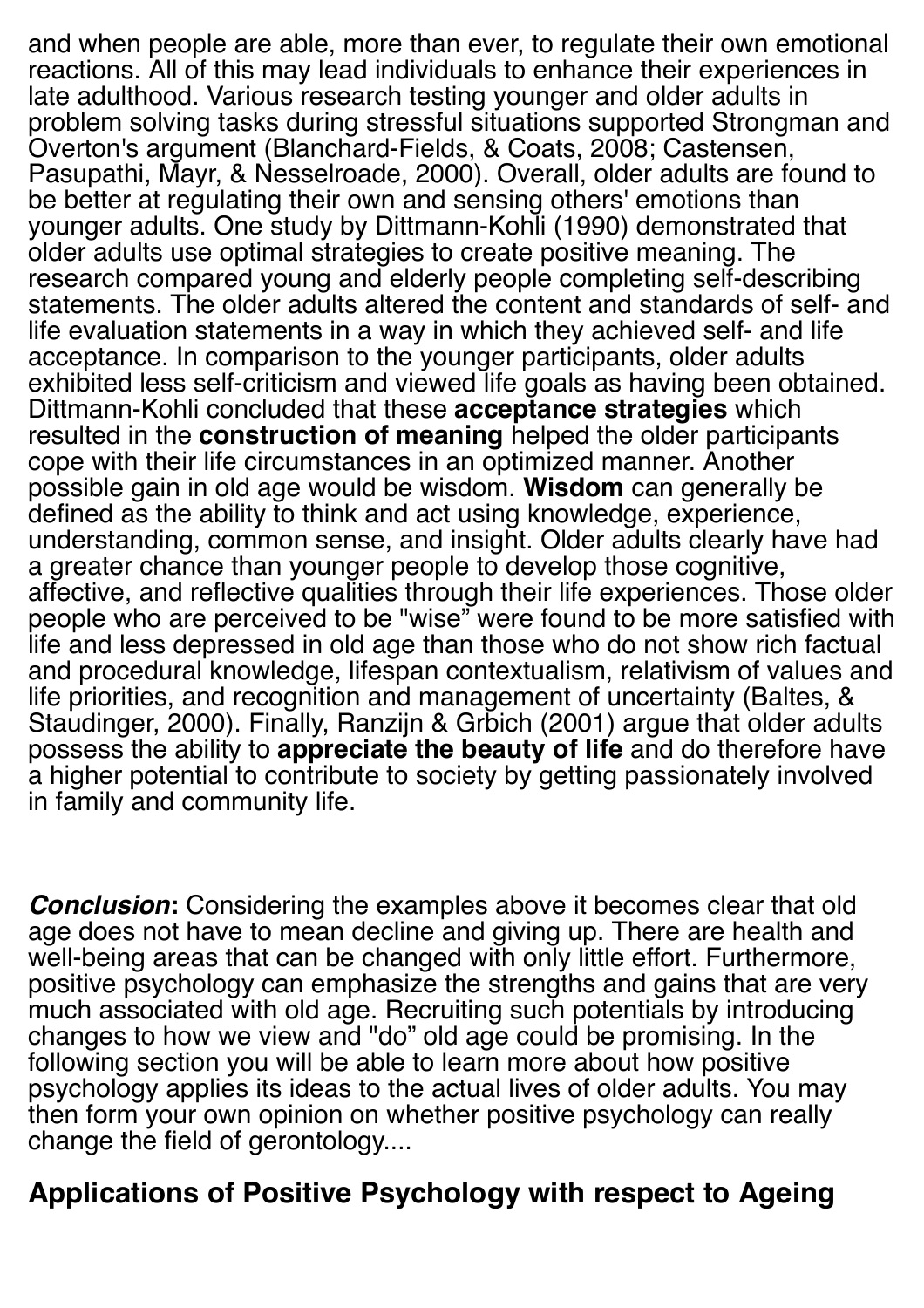and when people are able, more than ever, to regulate their own emotional reactions. All of this may lead individuals to enhance their experiences in late adulthood. Various research testing younger and older adults in problem solving tasks during stressful situations supported Strongman and Overton's argument (Blanchard-Fields, & Coats, 2008; Castensen, Pasupathi, Mayr, & Nesselroade, 2000). Overall, older adults are found to be better at regulating their own and sensing others' emotions than younger adults. One study by Dittmann-Kohli (1990) demonstrated that older adults use optimal strategies to create positive meaning. The research compared young and elderly people completing self-describing statements. The older adults altered the content and standards of self- and life evaluation statements in a way in which they achieved self- and life acceptance. In comparison to the younger participants, older adults exhibited less self-criticism and viewed life goals as having been obtained. Dittmann-Kohli concluded that these **acceptance strategies** which resulted in the **construction of meaning** helped the older participants cope with their life circumstances in an optimized manner. Another possible gain in old age would be wisdom. **Wisdom** can generally be defined as the ability to think and act using knowledge, experience, understanding, common sense, and insight. Older adults clearly have had a greater chance than younger people to develop those cognitive, affective, and reflective qualities through their life experiences. Those older people who are perceived to be "wise" were found to be more satisfied with life and less depressed in old age than those who do not show rich factual and procedural knowledge, lifespan contextualism, relativism of values and life priorities, and recognition and management of uncertainty (Baltes, & Staudinger, 2000). Finally, Ranzijn & Grbich (2001) argue that older adults possess the ability to **appreciate the beauty of life** and do therefore have a higher potential to contribute to society by getting passionately involved in family and community life.

*Conclusion***:** Considering the examples above it becomes clear that old age does not have to mean decline and giving up. There are health and well-being areas that can be changed with only little effort. Furthermore, positive psychology can emphasize the strengths and gains that are very much associated with old age. Recruiting such potentials by introducing changes to how we view and "do" old age could be promising. In the following section you will be able to learn more about how positive psychology applies its ideas to the actual lives of older adults. You may then form your own opinion on whether positive psychology can really change the field of gerontology....

# **Applications of Positive Psychology with respect to Ageing**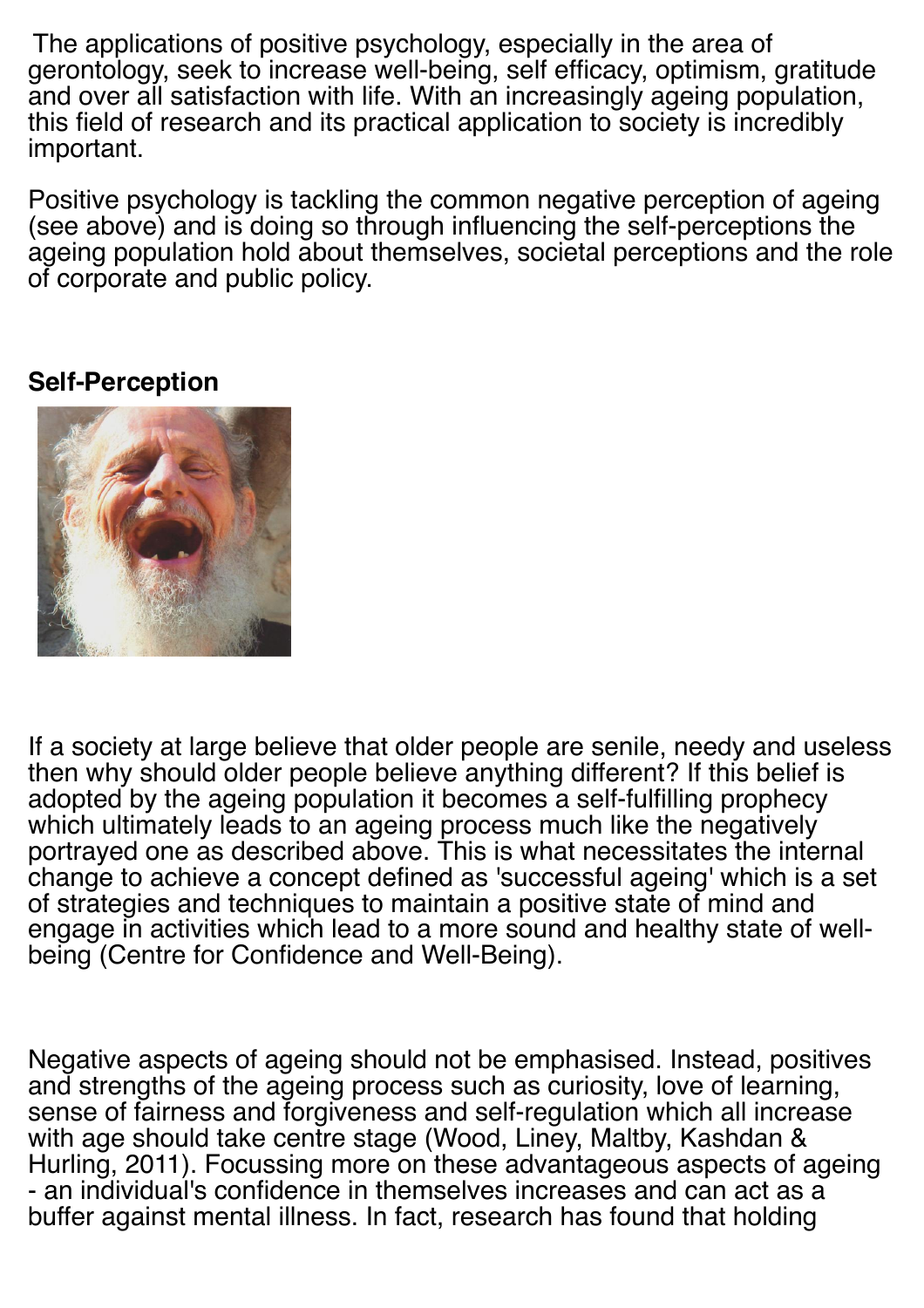The applications of positive psychology, especially in the area of gerontology, seek to increase well-being, self efficacy, optimism, gratitude and over all satisfaction with life. With an increasingly ageing population, this field of research and its practical application to society is incredibly important.

Positive psychology is tackling the common negative perception of ageing (see above) and is doing so through influencing the self-perceptions the ageing population hold about themselves, societal perceptions and the role of corporate and public policy.

#### **Self-Perception**



If a society at large believe that older people are senile, needy and useless then why should older people believe anything different? If this belief is adopted by the ageing population it becomes a self-fulfilling prophecy which ultimately leads to an ageing process much like the negatively portrayed one as described above. This is what necessitates the internal change to achieve a concept defined as 'successful ageing' which is a set of strategies and techniques to maintain a positive state of mind and engage in activities which lead to a more sound and healthy state of wellbeing (Centre for Confidence and Well-Being).

Negative aspects of ageing should not be emphasised. Instead, positives and strengths of the ageing process such as curiosity, love of learning, sense of fairness and forgiveness and self-regulation which all increase with age should take centre stage (Wood, Liney, Maltby, Kashdan & Hurling, 2011). Focussing more on these advantageous aspects of ageing - an individual's confidence in themselves increases and can act as a buffer against mental illness. In fact, research has found that holding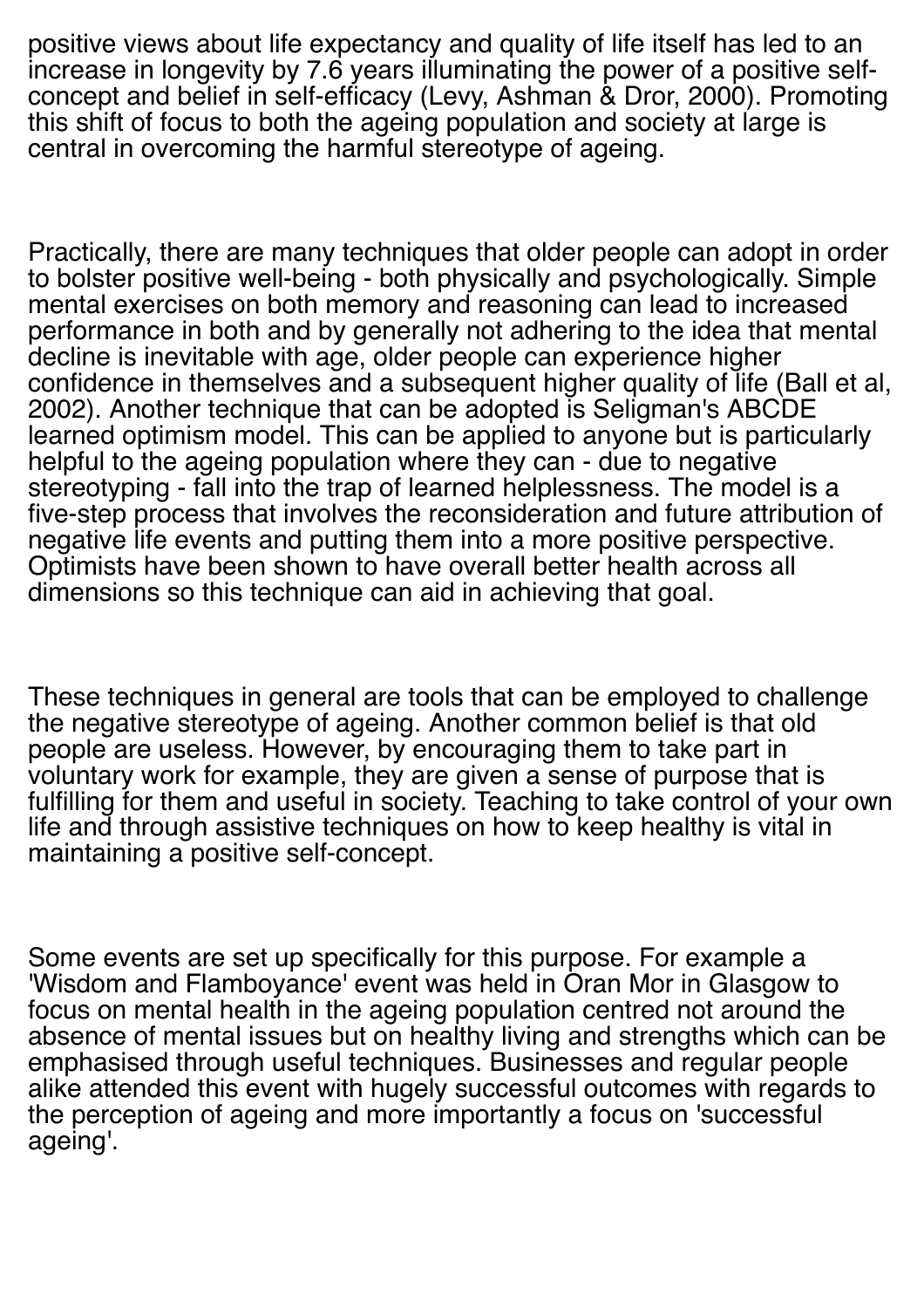positive views about life expectancy and quality of life itself has led to an increase in longevity by 7.6 years illuminating the power of a positive selfconcept and belief in self-efficacy (Levy, Ashman & Dror, 2000). Promoting this shift of focus to both the ageing population and society at large is central in overcoming the harmful stereotype of ageing.

Practically, there are many techniques that older people can adopt in order to bolster positive well-being - both physically and psychologically. Simple mental exercises on both memory and reasoning can lead to increased performance in both and by generally not adhering to the idea that mental decline is inevitable with age, older people can experience higher confidence in themselves and a subsequent higher quality of life (Ball et al, 2002). Another technique that can be adopted is Seligman's ABCDE learned optimism model. This can be applied to anyone but is particularly helpful to the ageing population where they can - due to negative stereotyping - fall into the trap of learned helplessness. The model is a five-step process that involves the reconsideration and future attribution of negative life events and putting them into a more positive perspective. Optimists have been shown to have overall better health across all dimensions so this technique can aid in achieving that goal.

These techniques in general are tools that can be employed to challenge the negative stereotype of ageing. Another common belief is that old people are useless. However, by encouraging them to take part in voluntary work for example, they are given a sense of purpose that is fulfilling for them and useful in society. Teaching to take control of your own life and through assistive techniques on how to keep healthy is vital in maintaining a positive self-concept.

Some events are set up specifically for this purpose. For example a 'Wisdom and Flamboyance' event was held in Oran Mor in Glasgow to focus on mental health in the ageing population centred not around the absence of mental issues but on healthy living and strengths which can be emphasised through useful techniques. Businesses and regular people alike attended this event with hugely successful outcomes with regards to the perception of ageing and more importantly a focus on 'successful ageing'.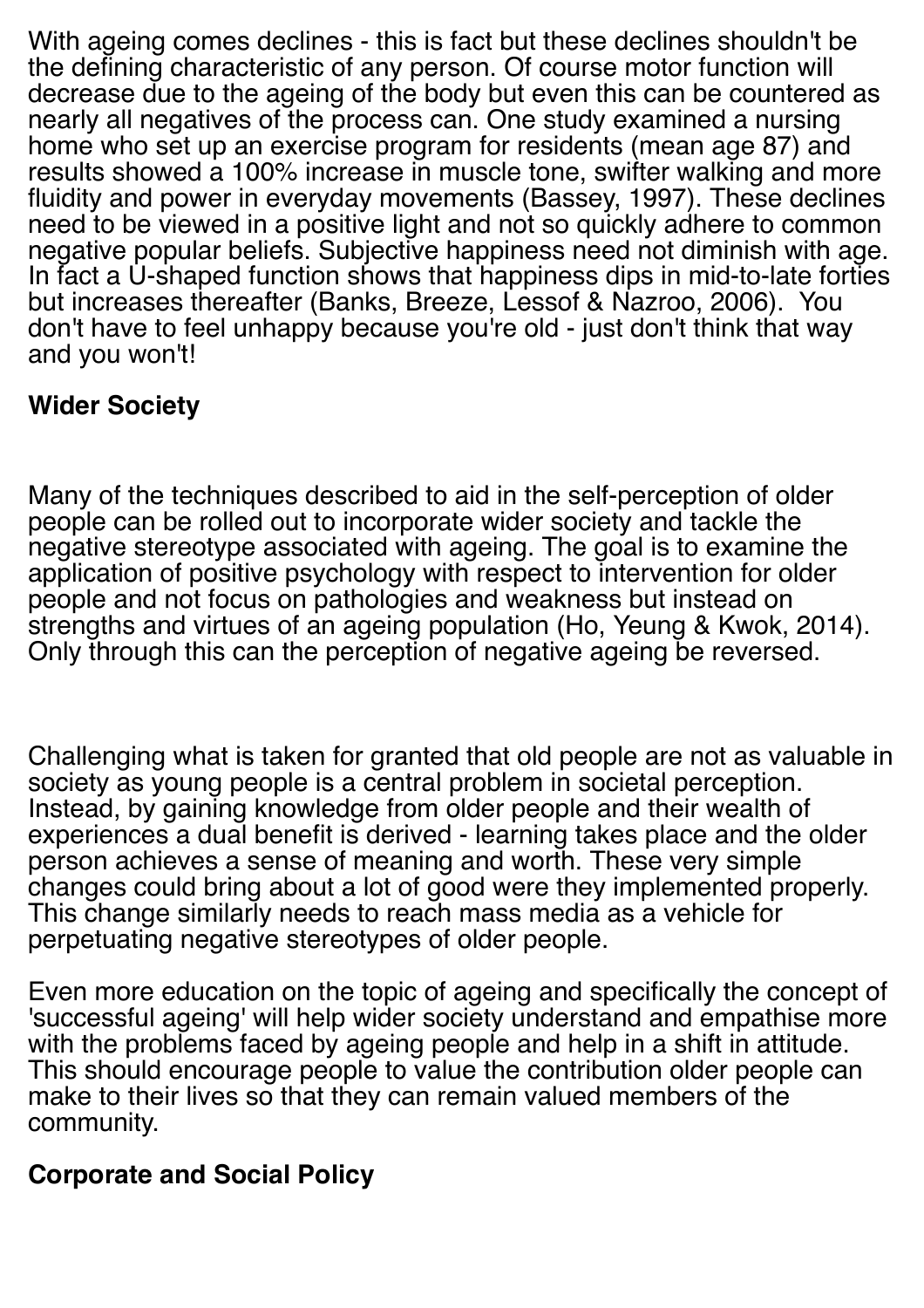With ageing comes declines - this is fact but these declines shouldn't be the defining characteristic of any person. Of course motor function will decrease due to the ageing of the body but even this can be countered as nearly all negatives of the process can. One study examined a nursing home who set up an exercise program for residents (mean age 87) and results showed a 100% increase in muscle tone, swifter walking and more fluidity and power in everyday movements (Bassey, 1997). These declines need to be viewed in a positive light and not so quickly adhere to common negative popular beliefs. Subjective happiness need not diminish with age. In fact a U-shaped function shows that happiness dips in mid-to-late forties but increases thereafter (Banks, Breeze, Lessof & Nazroo, 2006). You don't have to feel unhappy because you're old - just don't think that way and you won't!

# **Wider Society**

Many of the techniques described to aid in the self-perception of older people can be rolled out to incorporate wider society and tackle the negative stereotype associated with ageing. The goal is to examine the application of positive psychology with respect to intervention for older people and not focus on pathologies and weakness but instead on strengths and virtues of an ageing population (Ho, Yeung & Kwok, 2014). Only through this can the perception of negative ageing be reversed.

Challenging what is taken for granted that old people are not as valuable in society as young people is a central problem in societal perception. Instead, by gaining knowledge from older people and their wealth of experiences a dual benefit is derived - learning takes place and the older person achieves a sense of meaning and worth. These very simple changes could bring about a lot of good were they implemented properly. This change similarly needs to reach mass media as a vehicle for perpetuating negative stereotypes of older people.

Even more education on the topic of ageing and specifically the concept of 'successful ageing' will help wider society understand and empathise more with the problems faced by ageing people and help in a shift in attitude. This should encourage people to value the contribution older people can make to their lives so that they can remain valued members of the community.

# **Corporate and Social Policy**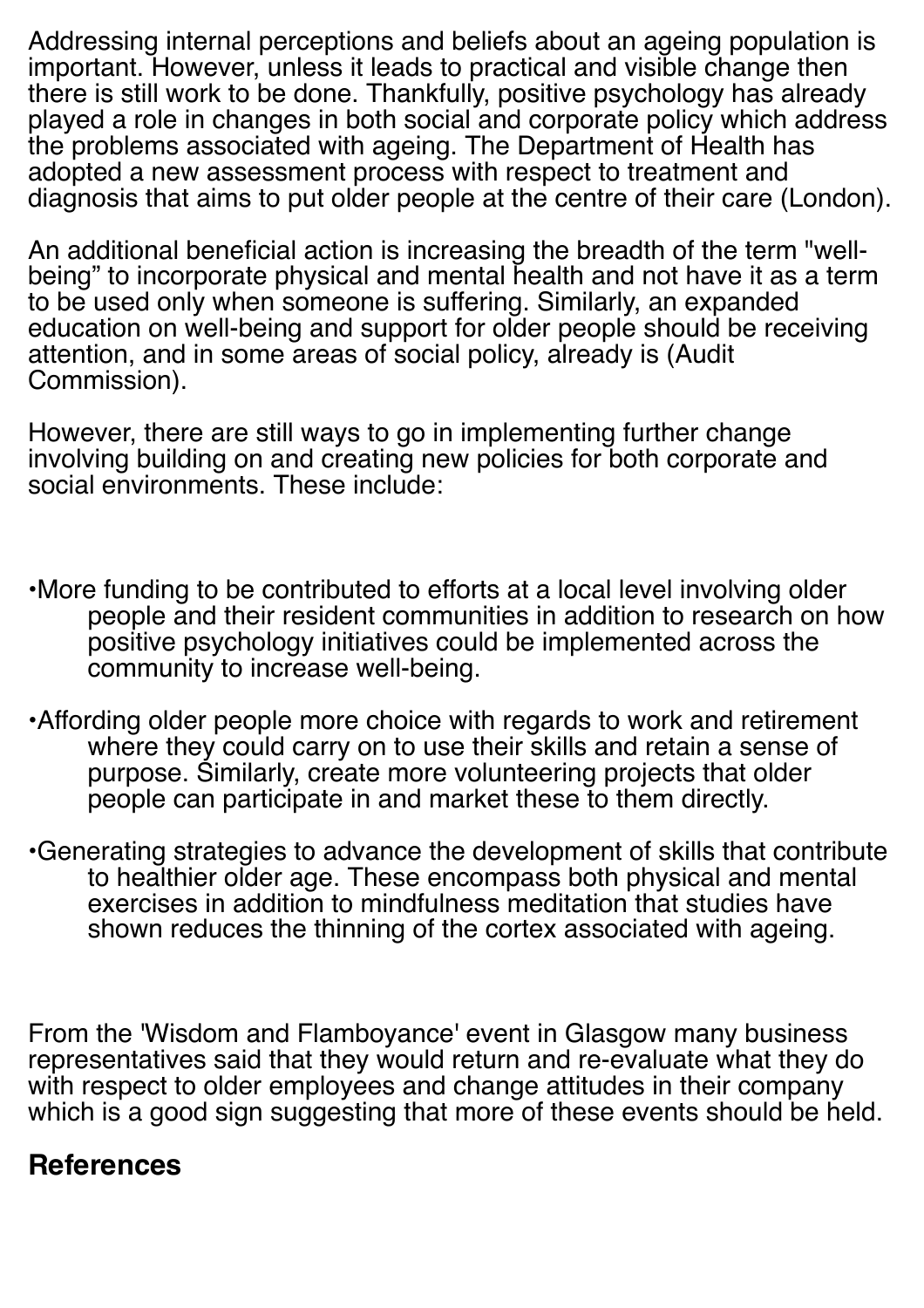Addressing internal perceptions and beliefs about an ageing population is important. However, unless it leads to practical and visible change then there is still work to be done. Thankfully, positive psychology has already played a role in changes in both social and corporate policy which address the problems associated with ageing. The Department of Health has adopted a new assessment process with respect to treatment and diagnosis that aims to put older people at the centre of their care (London).

An additional beneficial action is increasing the breadth of the term "wellbeing" to incorporate physical and mental health and not have it as a term to be used only when someone is suffering. Similarly, an expanded education on well-being and support for older people should be receiving attention, and in some areas of social policy, already is (Audit Commission).

However, there are still ways to go in implementing further change involving building on and creating new policies for both corporate and social environments. These include:

- •More funding to be contributed to efforts at a local level involving older people and their resident communities in addition to research on how positive psychology initiatives could be implemented across the community to increase well-being.
- •Affording older people more choice with regards to work and retirement where they could carry on to use their skills and retain a sense of purpose. Similarly, create more volunteering projects that older people can participate in and market these to them directly.
- •Generating strategies to advance the development of skills that contribute to healthier older age. These encompass both physical and mental exercises in addition to mindfulness meditation that studies have shown reduces the thinning of the cortex associated with ageing.

From the 'Wisdom and Flamboyance' event in Glasgow many business representatives said that they would return and re-evaluate what they do with respect to older employees and change attitudes in their company which is a good sign suggesting that more of these events should be held.

# **References**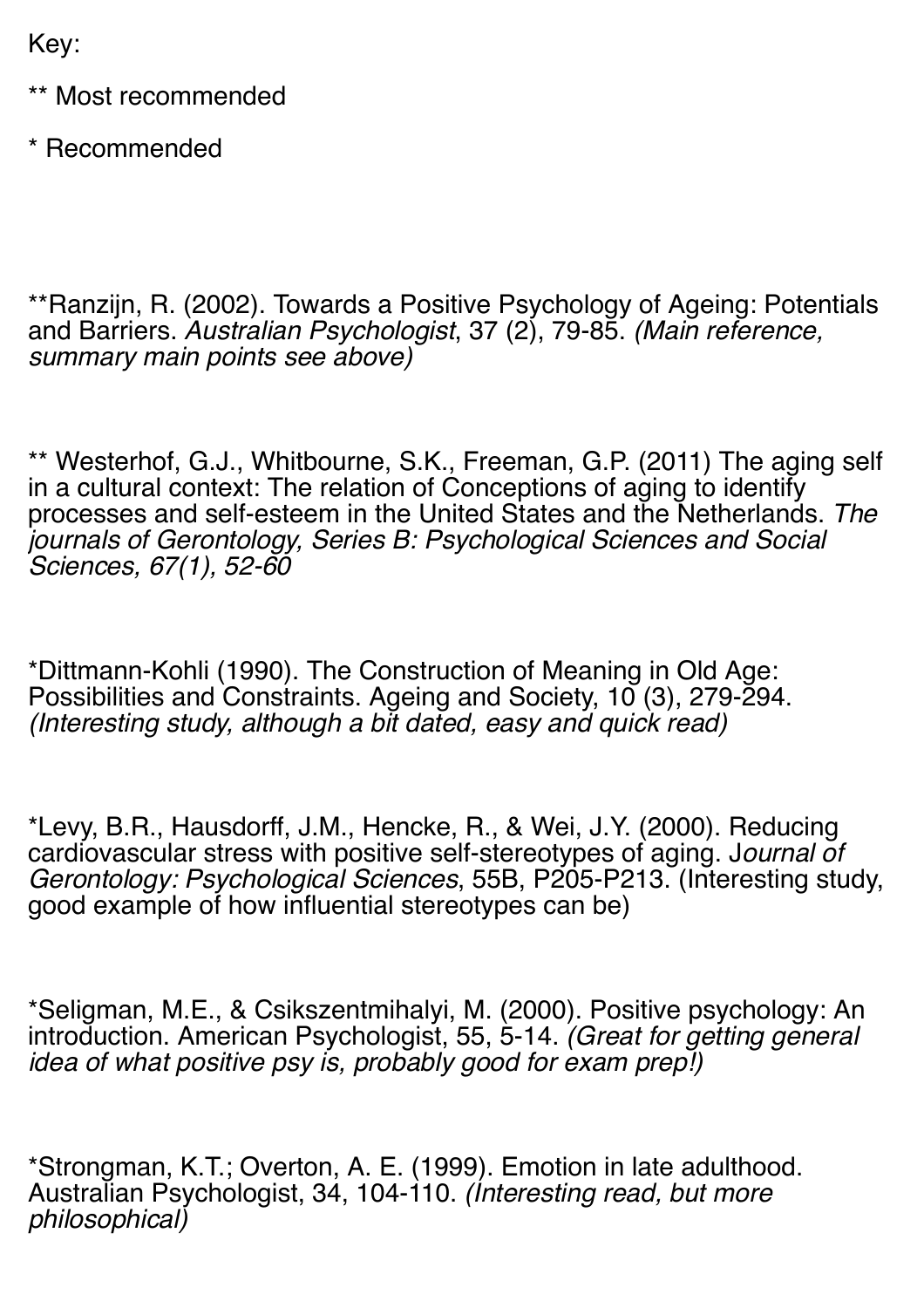Key:

\*\* Most recommended

\* Recommended

\*\*Ranzijn, R. (2002). Towards a Positive Psychology of Ageing: Potentials and Barriers. *Australian Psychologist*, 37 (2), 79-85. *(Main reference, summary main points see above)*

\*\* Westerhof, G.J., Whitbourne, S.K., Freeman, G.P. (2011) The aging self in a cultural context: The relation of Conceptions of aging to identify processes and self-esteem in the United States and the Netherlands. *The journals of Gerontology, Series B: Psychological Sciences and Social Sciences, 67(1), 52-60*

\*Dittmann-Kohli (1990). The Construction of Meaning in Old Age: Possibilities and Constraints. Ageing and Society, 10 (3), 279-294. *(Interesting study, although a bit dated, easy and quick read)*

\*Levy, B.R., Hausdorff, J.M., Hencke, R., & Wei, J.Y. (2000). Reducing cardiovascular stress with positive self-stereotypes of aging. J*ournal of Gerontology: Psychological Sciences*, 55B, P205-P213. (Interesting study, good example of how influential stereotypes can be)

\*Seligman, M.E., & Csikszentmihalyi, M. (2000). Positive psychology: An introduction. American Psychologist, 55, 5-14. *(Great for getting general idea of what positive psy is, probably good for exam prep!)*

\*Strongman, K.T.; Overton, A. E. (1999). Emotion in late adulthood. Australian Psychologist, 34, 104-110. *(Interesting read, but more philosophical)*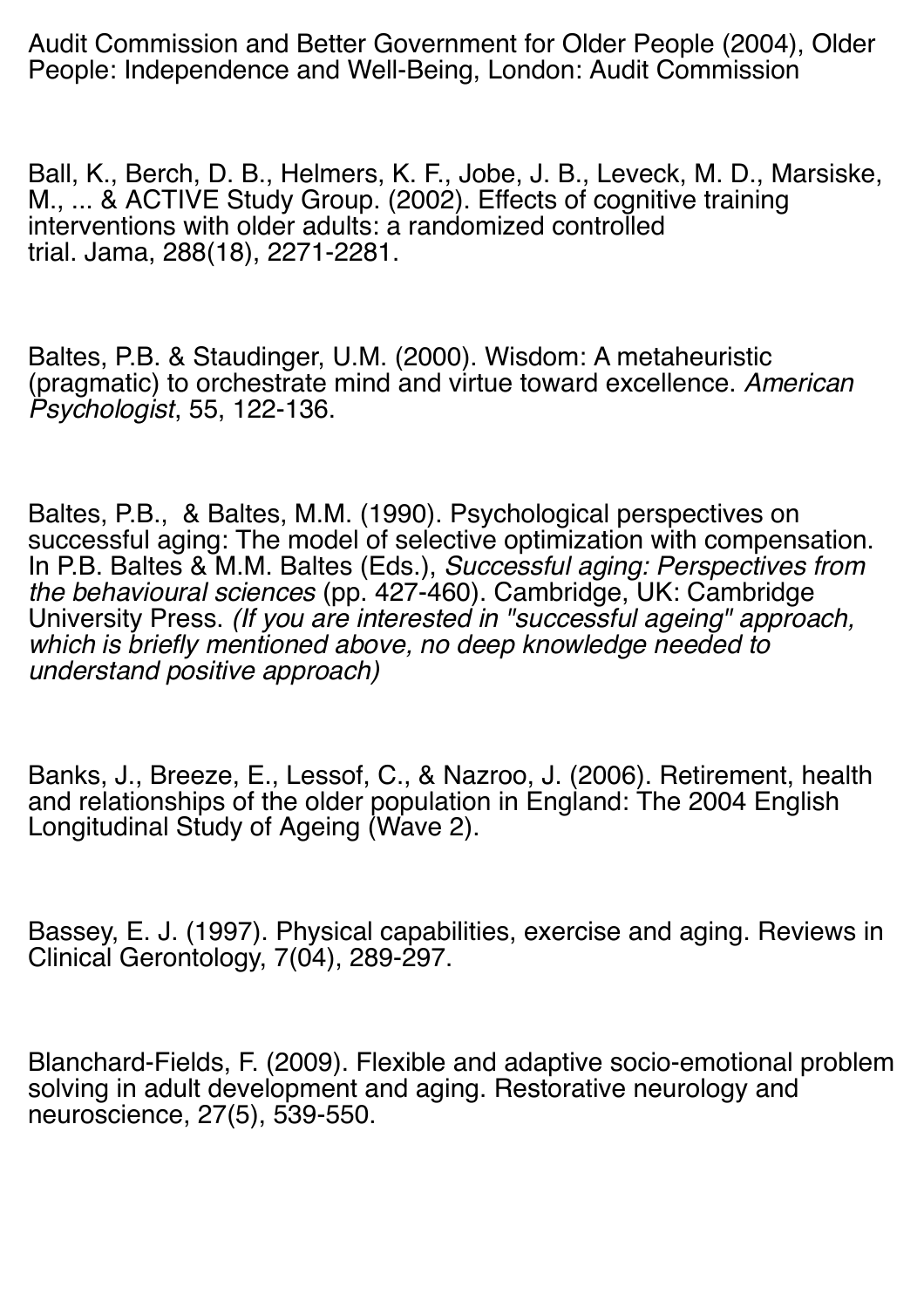Audit Commission and Better Government for Older People (2004), Older People: Independence and Well-Being, London: Audit Commission

Ball, K., Berch, D. B., Helmers, K. F., Jobe, J. B., Leveck, M. D., Marsiske, M., ... & ACTIVE Study Group. (2002). Effects of cognitive training interventions with older adults: a randomized controlled trial. Jama, 288(18), 2271-2281.

Baltes, P.B. & Staudinger, U.M. (2000). Wisdom: A metaheuristic (pragmatic) to orchestrate mind and virtue toward excellence. *American Psychologist*, 55, 122-136.

Baltes, P.B., & Baltes, M.M. (1990). Psychological perspectives on successful aging: The model of selective optimization with compensation. In P.B. Baltes & M.M. Baltes (Eds.), *Successful aging: Perspectives from the behavioural sciences* (pp. 427-460). Cambridge, UK: Cambridge University Press. *(If you are interested in "successful ageing" approach, which is briefly mentioned above, no deep knowledge needed to understand positive approach)*

Banks, J., Breeze, E., Lessof, C., & Nazroo, J. (2006). Retirement, health and relationships of the older population in England: The 2004 English Longitudinal Study of Ageing (Wave 2).

Bassey, E. J. (1997). Physical capabilities, exercise and aging. Reviews in Clinical Gerontology, 7(04), 289-297.

Blanchard-Fields, F. (2009). Flexible and adaptive socio-emotional problem solving in adult development and aging. Restorative neurology and neuroscience, 27(5), 539-550.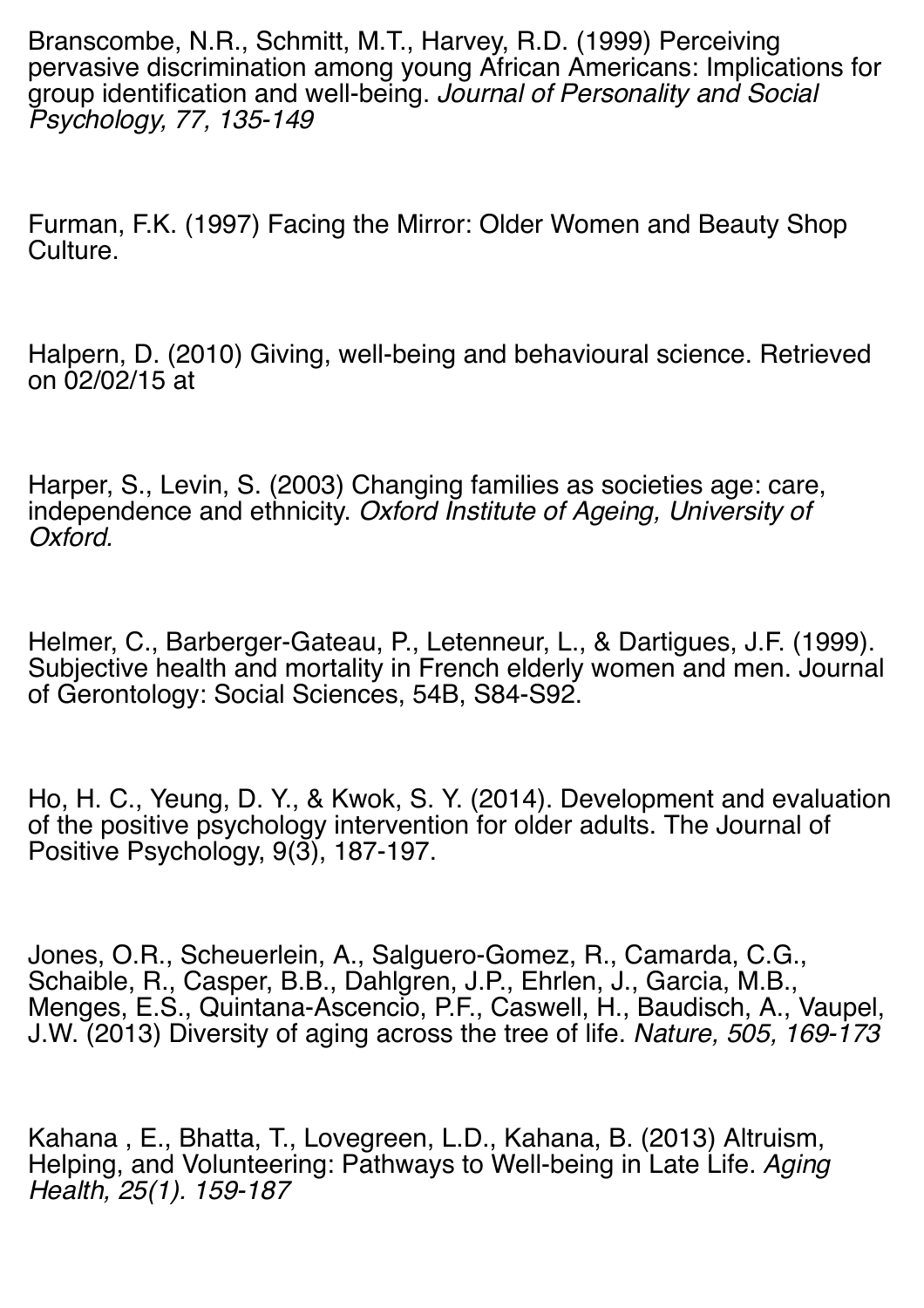Branscombe, N.R., Schmitt, M.T., Harvey, R.D. (1999) Perceiving pervasive discrimination among young African Americans: Implications for group identification and well-being. *Journal of Personality and Social Psychology, 77, 135-149*

Furman, F.K. (1997) Facing the Mirror: Older Women and Beauty Shop Culture.

Halpern, D. (2010) Giving, well-being and behavioural science. Retrieved on 02/02/15 at

Harper, S., Levin, S. (2003) Changing families as societies age: care, independence and ethnicity. *Oxford Institute of Ageing, University of Oxford.*

Helmer, C., Barberger-Gateau, P., Letenneur, L., & Dartigues, J.F. (1999). Subjective health and mortality in French elderly women and men. Journal of Gerontology: Social Sciences, 54B, S84-S92.

Ho, H. C., Yeung, D. Y., & Kwok, S. Y. (2014). Development and evaluation of the positive psychology intervention for older adults. The Journal of Positive Psychology, 9(3), 187-197.

Jones, O.R., Scheuerlein, A., Salguero-Gomez, R., Camarda, C.G., Schaible, R., Casper, B.B., Dahlgren, J.P., Ehrlen, J., Garcia, M.B., Menges, E.S., Quintana-Ascencio, P.F., Caswell, H., Baudisch, A., Vaupel, J.W. (2013) Diversity of aging across the tree of life. *Nature, 505, 169-173*

Kahana , E., Bhatta, T., Lovegreen, L.D., Kahana, B. (2013) Altruism, Helping, and Volunteering: Pathways to Well-being in Late Life. *Aging Health, 25(1). 159-187*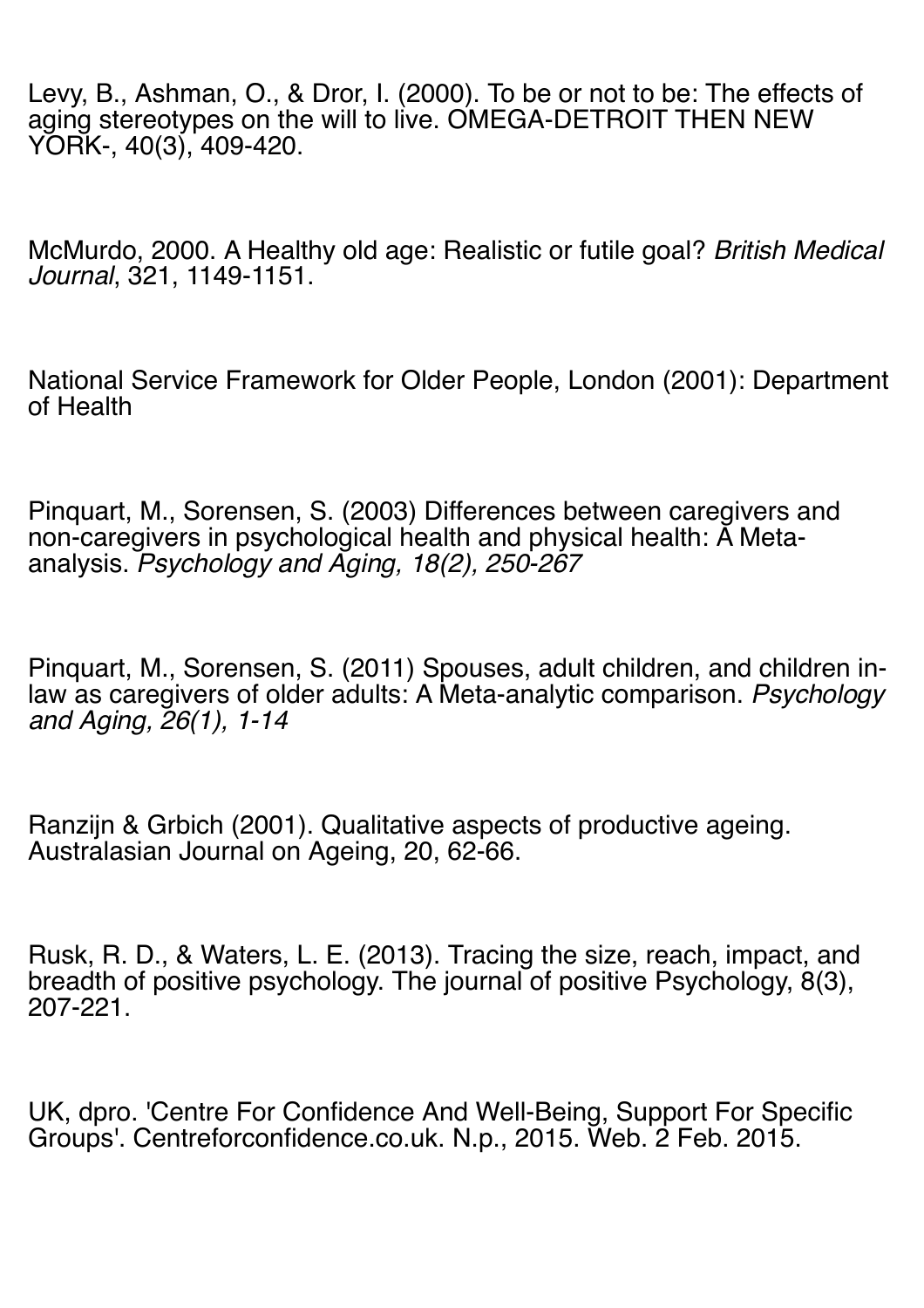Levy, B., Ashman, O., & Dror, I. (2000). To be or not to be: The effects of aging stereotypes on the will to live. OMEGA-DETROIT THEN NEW YORK-, 40(3), 409-420.

McMurdo, 2000. A Healthy old age: Realistic or futile goal? *British Medical Journal*, 321, 1149-1151.

National Service Framework for Older People, London (2001): Department of Health

Pinquart, M., Sorensen, S. (2003) Differences between caregivers and non-caregivers in psychological health and physical health: A Metaanalysis. *Psychology and Aging, 18(2), 250-267*

Pinquart, M., Sorensen, S. (2011) Spouses, adult children, and children inlaw as caregivers of older adults: A Meta-analytic comparison. *Psychology and Aging, 26(1), 1-14*

Ranzijn & Grbich (2001). Qualitative aspects of productive ageing. Australasian Journal on Ageing, 20, 62-66.

Rusk, R. D., & Waters, L. E. (2013). Tracing the size, reach, impact, and breadth of positive psychology. The journal of positive Psychology, 8(3), 207-221.

UK, dpro. 'Centre For Confidence And Well-Being, Support For Specific Groups'. Centreforconfidence.co.uk. N.p., 2015. Web. 2 Feb. 2015.